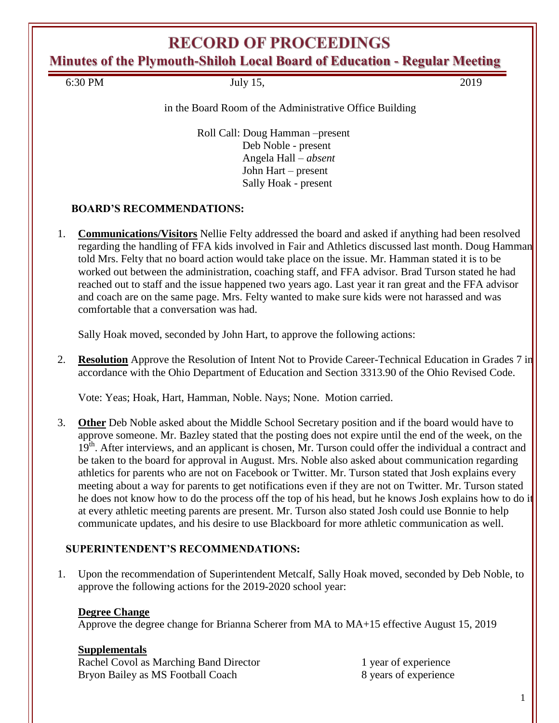# **RECORD OF PROCEEDINGS**

**Minutes of the Plymouth-Shiloh Local Board of Education - Regular Meeting**

6:30 PM July 15, 2019

### in the Board Room of the Administrative Office Building

Roll Call: Doug Hamman –present Deb Noble - present Angela Hall – *absent* John Hart – present Sally Hoak - present

### **BOARD'S RECOMMENDATIONS:**

1. **Communications/Visitors** Nellie Felty addressed the board and asked if anything had been resolved regarding the handling of FFA kids involved in Fair and Athletics discussed last month. Doug Hamman told Mrs. Felty that no board action would take place on the issue. Mr. Hamman stated it is to be worked out between the administration, coaching staff, and FFA advisor. Brad Turson stated he had reached out to staff and the issue happened two years ago. Last year it ran great and the FFA advisor and coach are on the same page. Mrs. Felty wanted to make sure kids were not harassed and was comfortable that a conversation was had.

Sally Hoak moved, seconded by John Hart, to approve the following actions:

2. **Resolution** Approve the Resolution of Intent Not to Provide Career-Technical Education in Grades 7 in accordance with the Ohio Department of Education and Section 3313.90 of the Ohio Revised Code.

Vote: Yeas; Hoak, Hart, Hamman, Noble. Nays; None. Motion carried.

3. **Other** Deb Noble asked about the Middle School Secretary position and if the board would have to approve someone. Mr. Bazley stated that the posting does not expire until the end of the week, on the  $19<sup>th</sup>$ . After interviews, and an applicant is chosen, Mr. Turson could offer the individual a contract and be taken to the board for approval in August. Mrs. Noble also asked about communication regarding athletics for parents who are not on Facebook or Twitter. Mr. Turson stated that Josh explains every meeting about a way for parents to get notifications even if they are not on Twitter. Mr. Turson stated he does not know how to do the process off the top of his head, but he knows Josh explains how to do it at every athletic meeting parents are present. Mr. Turson also stated Josh could use Bonnie to help communicate updates, and his desire to use Blackboard for more athletic communication as well.

### **SUPERINTENDENT'S RECOMMENDATIONS:**

1. Upon the recommendation of Superintendent Metcalf, Sally Hoak moved, seconded by Deb Noble, to approve the following actions for the 2019-2020 school year:

### **Degree Change**

Approve the degree change for Brianna Scherer from MA to MA+15 effective August 15, 2019

### **Supplementals**

Rachel Covol as Marching Band Director 1 year of experience Bryon Bailey as MS Football Coach 8 years of experience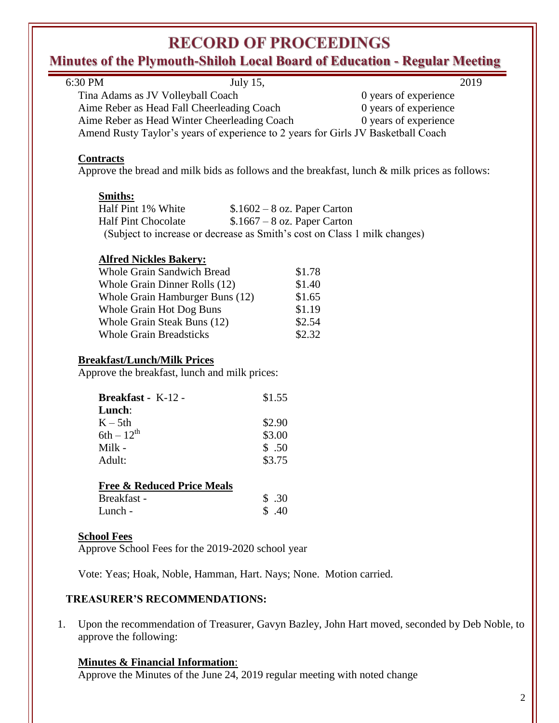# **RECORD OF PROCEEDINGS**

## **Minutes of the Plymouth-Shiloh Local Board of Education - Regular Meeting**

| 6:30 PM                                                                             | July 15,                      | 2019                                                                                          |  |
|-------------------------------------------------------------------------------------|-------------------------------|-----------------------------------------------------------------------------------------------|--|
| Tina Adams as JV Volleyball Coach                                                   |                               | 0 years of experience                                                                         |  |
| Aime Reber as Head Fall Cheerleading Coach                                          |                               | 0 years of experience                                                                         |  |
| Aime Reber as Head Winter Cheerleading Coach                                        |                               | 0 years of experience                                                                         |  |
| Amend Rusty Taylor's years of experience to 2 years for Girls JV Basketball Coach   |                               |                                                                                               |  |
| <b>Contracts</b>                                                                    |                               | Approve the bread and milk bids as follows and the breakfast, lunch & milk prices as follows: |  |
| <b>Smiths:</b>                                                                      |                               |                                                                                               |  |
| Half Pint 1% White                                                                  | $$.1602 - 8$ oz. Paper Carton |                                                                                               |  |
| <b>Half Pint Chocolate</b>                                                          | $$.1667 - 8$ oz. Paper Carton |                                                                                               |  |
| (Subject to increase or decrease as Smith's cost on Class 1 milk changes)           |                               |                                                                                               |  |
|                                                                                     |                               |                                                                                               |  |
| <b>Alfred Nickles Bakery:</b>                                                       |                               |                                                                                               |  |
| <b>Whole Grain Sandwich Bread</b>                                                   | \$1.78                        |                                                                                               |  |
| Whole Grain Dinner Rolls (12)                                                       | \$1.40                        |                                                                                               |  |
| Whole Grain Hamburger Buns (12)                                                     | \$1.65                        |                                                                                               |  |
| Whole Grain Hot Dog Buns                                                            | \$1.19                        |                                                                                               |  |
| Whole Grain Steak Buns (12)                                                         | \$2.54                        |                                                                                               |  |
| <b>Whole Grain Breadsticks</b>                                                      | \$2.32                        |                                                                                               |  |
|                                                                                     |                               |                                                                                               |  |
|                                                                                     |                               |                                                                                               |  |
| <b>Breakfast/Lunch/Milk Prices</b><br>Approve the breakfast, lunch and milk prices: |                               |                                                                                               |  |
| Breakfast - K-12 -                                                                  | \$1.55                        |                                                                                               |  |
| Lunch:                                                                              |                               |                                                                                               |  |
| $K - 5th$                                                                           | \$2.90                        |                                                                                               |  |
| $6th - 12^{th}$                                                                     | \$3.00                        |                                                                                               |  |
| Milk -                                                                              | \$.50                         |                                                                                               |  |
| Adult:                                                                              | \$3.75                        |                                                                                               |  |
| <b>Free &amp; Reduced Price Meals</b>                                               |                               |                                                                                               |  |
| Breakfast -                                                                         | \$.30                         |                                                                                               |  |
| Lunch -                                                                             | \$.40                         |                                                                                               |  |
| <b>School Fees</b>                                                                  |                               |                                                                                               |  |
| Approve School Fees for the 2019-2020 school year                                   |                               |                                                                                               |  |
| Vote: Yeas; Hoak, Noble, Hamman, Hart. Nays; None. Motion carried.                  |                               |                                                                                               |  |

1. Upon the recommendation of Treasurer, Gavyn Bazley, John Hart moved, seconded by Deb Noble, to approve the following:

### **Minutes & Financial Information**:

Approve the Minutes of the June 24, 2019 regular meeting with noted change